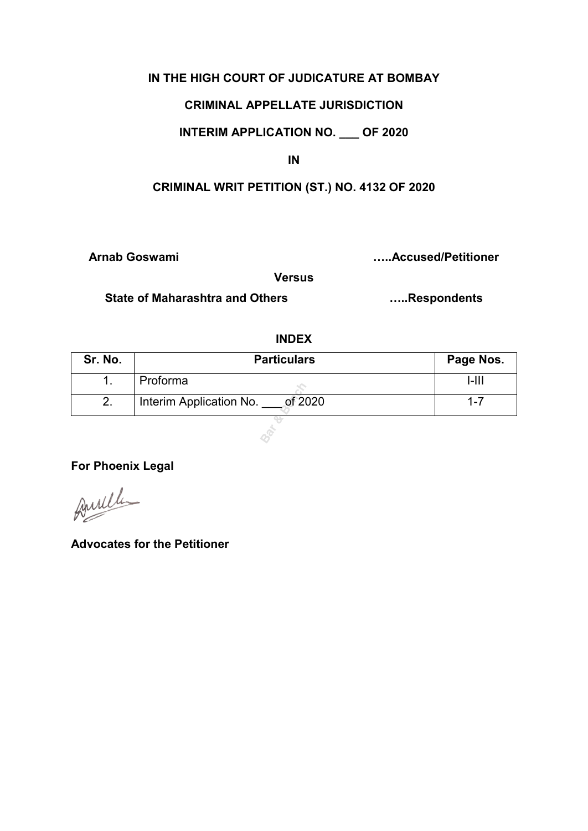### **IN THE HIGH COURT OF JUDICATURE AT BOMBAY**

### **CRIMINAL APPELLATE JURISDICTION**

## **INTERIM APPLICATION NO. \_\_\_ OF 2020**

**IN** 

## **CRIMINAL WRIT PETITION (ST.) NO. 4132 OF 2020**

**Arnab Goswami …..Accused/Petitioner** 

**Versus** 

**State of Maharashtra and Others …..Respondents** 

### **INDEX**

| Sr. No. | <b>Particulars</b>                 | Page Nos. |
|---------|------------------------------------|-----------|
|         | Proforma                           | l-III     |
|         | of 2020<br>Interim Application No. | $1 - 7$   |

**Bar & Bench**

**For Phoenix Legal** 

Amille

**Advocates for the Petitioner**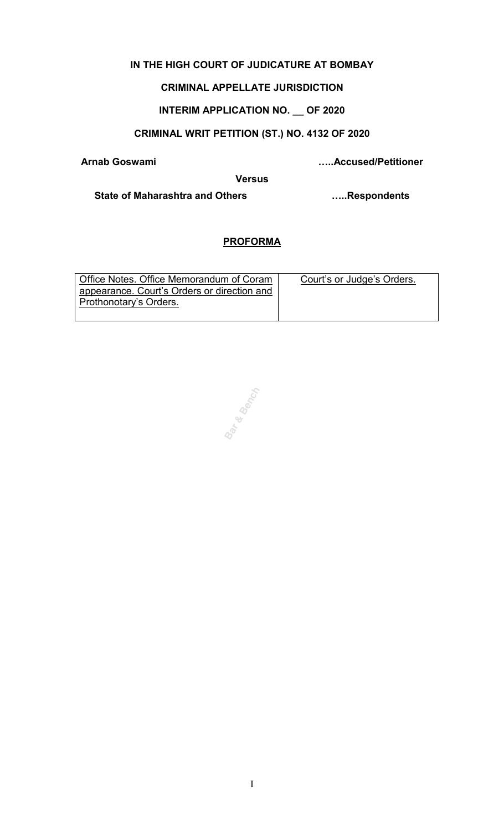## **IN THE HIGH COURT OF JUDICATURE AT BOMBAY**

## **CRIMINAL APPELLATE JURISDICTION**

# **INTERIM APPLICATION NO. \_\_ OF 2020**

## **CRIMINAL WRIT PETITION (ST.) NO. 4132 OF 2020**

**Arnab Goswami …..Accused/Petitioner** 

**Versus** 

**State of Maharashtra and Others …..Respondents** 

## **PROFORMA**

| Office Notes. Office Memorandum of Coram    | Court's or Judge's Orders. |
|---------------------------------------------|----------------------------|
| appearance. Court's Orders or direction and |                            |
| Prothonotary's Orders.                      |                            |
|                                             |                            |

**Bar & Banch**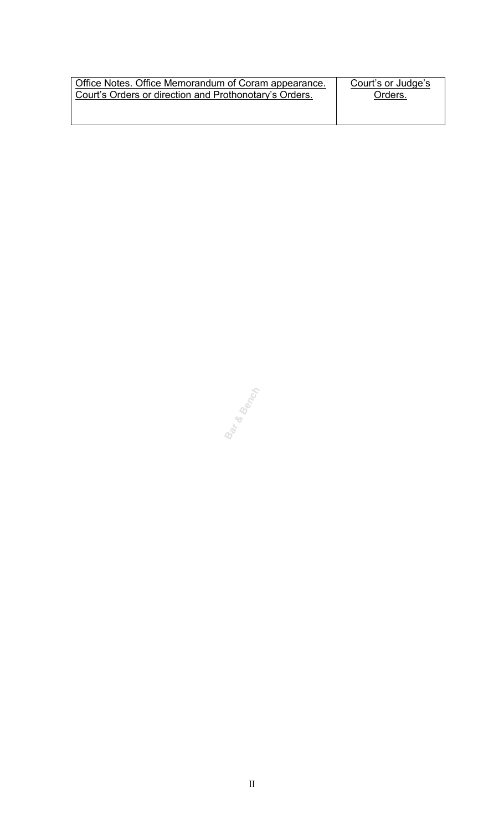| Office Notes. Office Memorandum of Coram appearance.   | Court's or Judge's |
|--------------------------------------------------------|--------------------|
| Court's Orders or direction and Prothonotary's Orders. | Orders.            |
|                                                        |                    |

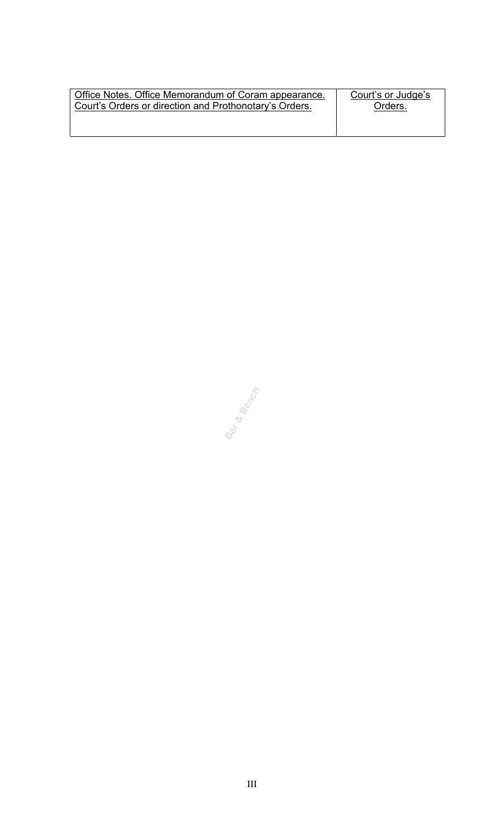| Office Notes. Office Memorandum of Coram appearance.   | Court's or Judge's |
|--------------------------------------------------------|--------------------|
| Court's Orders or direction and Prothonotary's Orders. | Orders.            |
|                                                        |                    |

**Bar & Bench**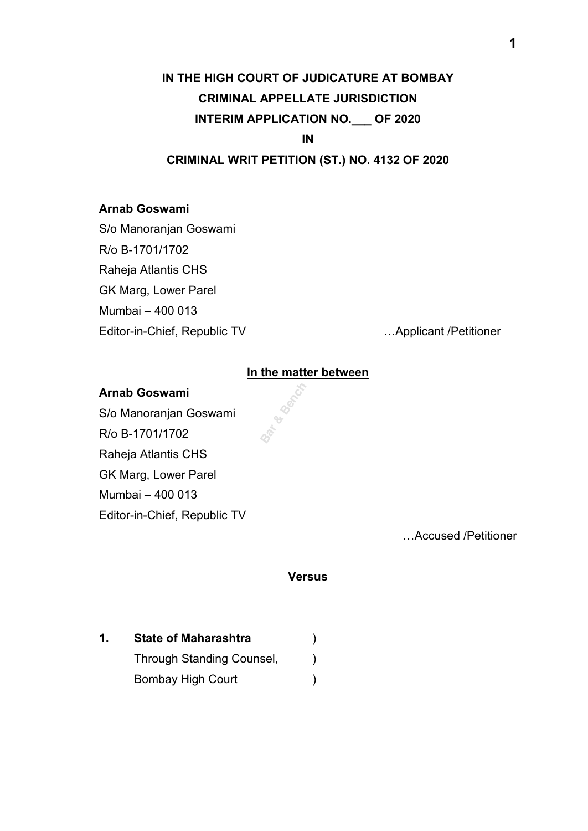# **IN THE HIGH COURT OF JUDICATURE AT BOMBAY CRIMINAL APPELLATE JURISDICTION INTERIM APPLICATION NO.\_\_\_ OF 2020**

**IN** 

## **CRIMINAL WRIT PETITION (ST.) NO. 4132 OF 2020**

### **Arnab Goswami**

S/o Manoranjan Goswami R/o B-1701/1702 Raheja Atlantis CHS GK Marg, Lower Parel Mumbai – 400 013

Editor-in-Chief, Republic TV …Applicant /Petitioner

### **In the matter between**

್ರ<br>ಕ್

### **Arnab Goswami**

S/o Manoranjan Goswami R/o B-1701/1702 Raheja Atlantis CHS GK Marg, Lower Parel Mumbai – 400 013 Editor-in-Chief, Republic TV

…Accused /Petitioner

#### **Versus**

**1. State of Maharashtra** ) Through Standing Counsel,  $\qquad)$ Bombay High Court (1999)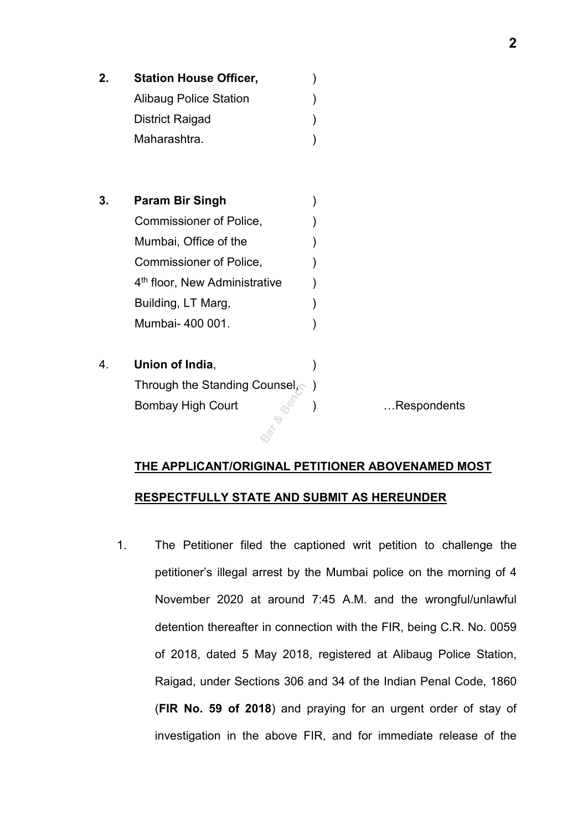| 2. | <b>Station House Officer,</b>             |             |
|----|-------------------------------------------|-------------|
|    | <b>Alibaug Police Station</b>             |             |
|    | <b>District Raigad</b>                    |             |
|    | Maharashtra.                              |             |
|    |                                           |             |
| 3. | <b>Param Bir Singh</b>                    |             |
|    | Commissioner of Police,                   |             |
|    | Mumbai, Office of the                     |             |
|    | Commissioner of Police,                   |             |
|    | 4 <sup>th</sup> floor, New Administrative |             |
|    | Building, LT Marg,                        |             |
|    | Mumbai- 400 001.                          |             |
| 4. | Union of India,                           |             |
|    | Through the Standing Counsel,             |             |
|    | <b>Bombay High Court</b>                  | Respondents |
|    |                                           |             |

### **THE APPLICANT/ORIGINAL PETITIONER ABOVENAMED MOST**

### **RESPECTFULLY STATE AND SUBMIT AS HEREUNDER**

1. The Petitioner filed the captioned writ petition to challenge the petitioner's illegal arrest by the Mumbai police on the morning of 4 November 2020 at around 7:45 A.M. and the wrongful/unlawful detention thereafter in connection with the FIR, being C.R. No. 0059 of 2018, dated 5 May 2018, registered at Alibaug Police Station, Raigad, under Sections 306 and 34 of the Indian Penal Code, 1860 (**FIR No. 59 of 2018**) and praying for an urgent order of stay of investigation in the above FIR, and for immediate release of the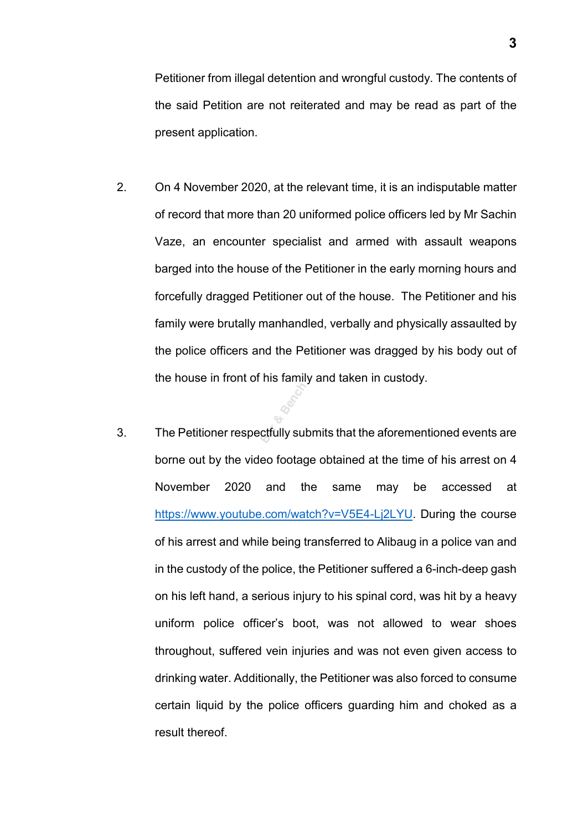Petitioner from illegal detention and wrongful custody. The contents of the said Petition are not reiterated and may be read as part of the present application.

- 2. On 4 November 2020, at the relevant time, it is an indisputable matter of record that more than 20 uniformed police officers led by Mr Sachin Vaze, an encounter specialist and armed with assault weapons barged into the house of the Petitioner in the early morning hours and forcefully dragged Petitioner out of the house. The Petitioner and his family were brutally manhandled, verbally and physically assaulted by the police officers and the Petitioner was dragged by his body out of the house in front of his family and taken in custody.
- 3. The Petitioner respectfully submits that the aforementioned events are borne out by the video footage obtained at the time of his arrest on 4 November 2020 and the same may be accessed at [https://www.youtube.com/watch?v=V5E4-Lj2LYU.](https://www.youtube.com/watch?v=V5E4-Lj2LYU) During the course of his arrest and while being transferred to Alibaug in a police van and in the custody of the police, the Petitioner suffered a 6-inch-deep gash on his left hand, a serious injury to his spinal cord, was hit by a heavy uniform police officer's boot, was not allowed to wear shoes throughout, suffered vein injuries and was not even given access to drinking water. Additionally, the Petitioner was also forced to consume certain liquid by the police officers guarding him and choked as a result thereof.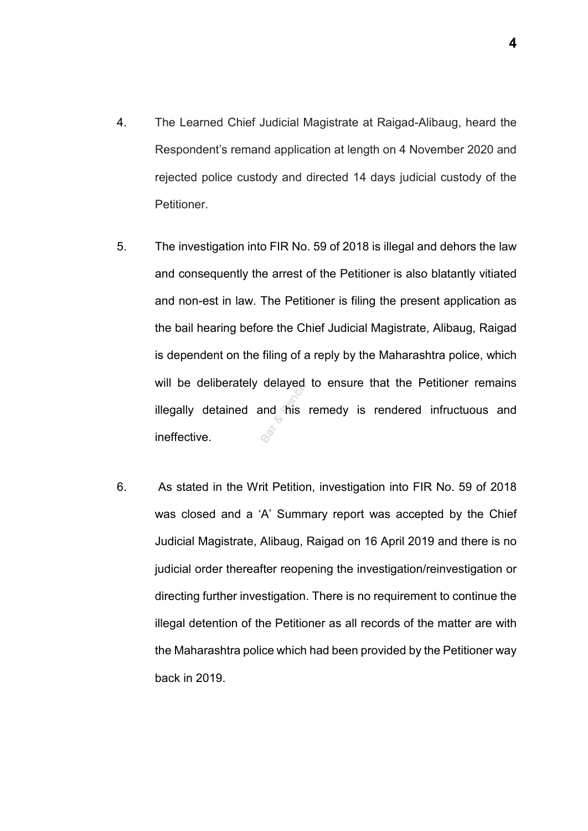- 4. The Learned Chief Judicial Magistrate at Raigad-Alibaug, heard the Respondent's remand application at length on 4 November 2020 and rejected police custody and directed 14 days judicial custody of the Petitioner.
- 5. The investigation into FIR No. 59 of 2018 is illegal and dehors the law and consequently the arrest of the Petitioner is also blatantly vitiated and non-est in law. The Petitioner is filing the present application as the bail hearing before the Chief Judicial Magistrate, Alibaug, Raigad is dependent on the filing of a reply by the Maharashtra police, which will be deliberately delayed to ensure that the Petitioner remains illegally detained and his remedy is rendered infructuous and ineffective. **Bar Branch**<br>and this
- 6. As stated in the Writ Petition, investigation into FIR No. 59 of 2018 was closed and a 'A' Summary report was accepted by the Chief Judicial Magistrate, Alibaug, Raigad on 16 April 2019 and there is no judicial order thereafter reopening the investigation/reinvestigation or directing further investigation. There is no requirement to continue the illegal detention of the Petitioner as all records of the matter are with the Maharashtra police which had been provided by the Petitioner way back in 2019.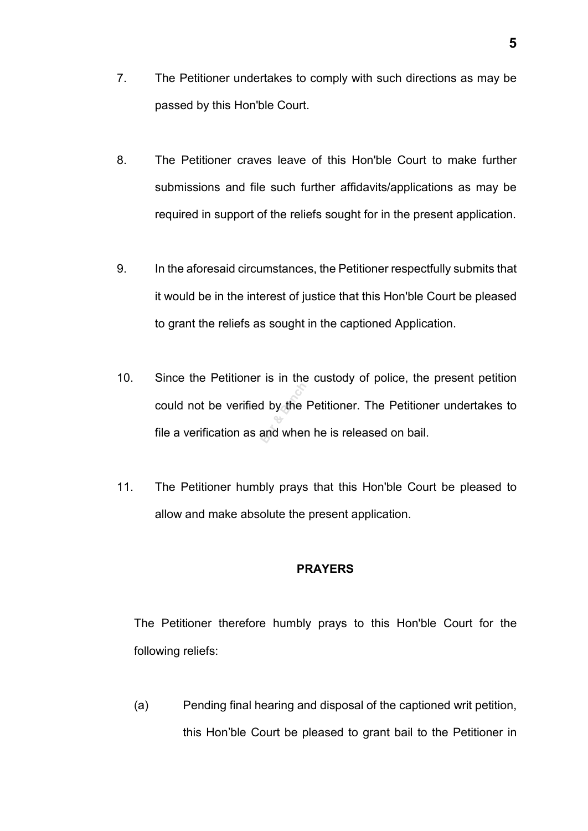- 7. The Petitioner undertakes to comply with such directions as may be passed by this Hon'ble Court.
- 8. The Petitioner craves leave of this Hon'ble Court to make further submissions and file such further affidavits/applications as may be required in support of the reliefs sought for in the present application.
- 9. In the aforesaid circumstances, the Petitioner respectfully submits that it would be in the interest of justice that this Hon'ble Court be pleased to grant the reliefs as sought in the captioned Application.
- 10. Since the Petitioner is in the custody of police, the present petition could not be verified by the Petitioner. The Petitioner undertakes to file a verification as and when he is released on bail. **Bar and**<br>**and** when
- 11. The Petitioner humbly prays that this Hon'ble Court be pleased to allow and make absolute the present application.

### **PRAYERS**

The Petitioner therefore humbly prays to this Hon'ble Court for the following reliefs:

(a) Pending final hearing and disposal of the captioned writ petition, this Hon'ble Court be pleased to grant bail to the Petitioner in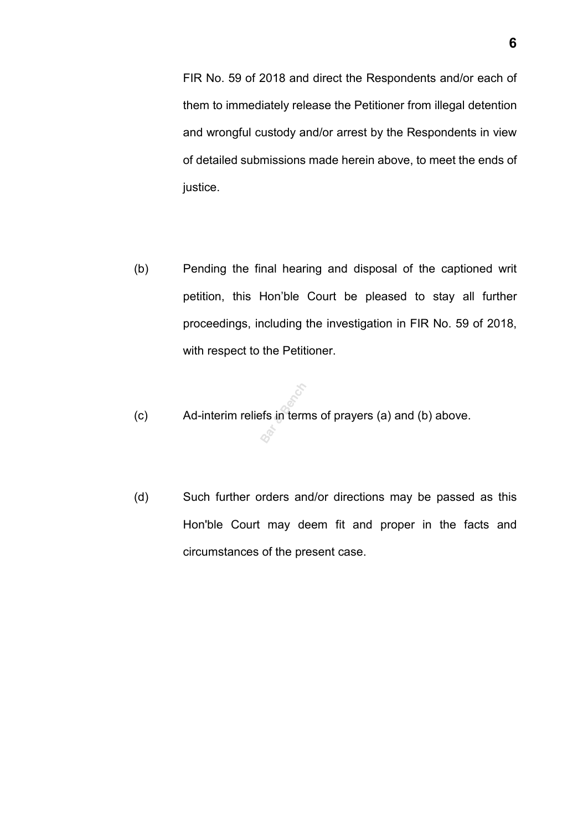FIR No. 59 of 2018 and direct the Respondents and/or each of them to immediately release the Petitioner from illegal detention and wrongful custody and/or arrest by the Respondents in view of detailed submissions made herein above, to meet the ends of justice.

- (b) Pending the final hearing and disposal of the captioned writ petition, this Hon'ble Court be pleased to stay all further proceedings, including the investigation in FIR No. 59 of 2018, with respect to the Petitioner.
- (c) Ad-interim reliefs in terms of prayers (a) and (b) above. **Bar & Bench**
- (d) Such further orders and/or directions may be passed as this Hon'ble Court may deem fit and proper in the facts and circumstances of the present case.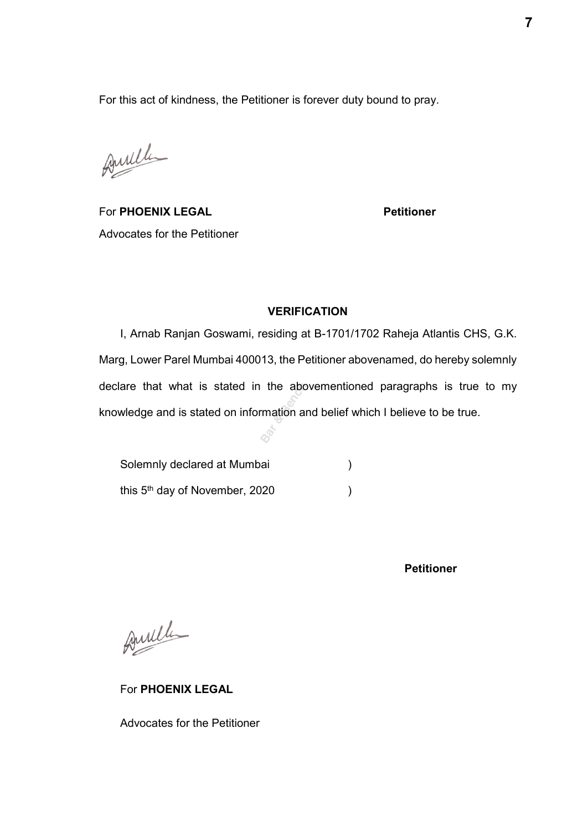For this act of kindness, the Petitioner is forever duty bound to pray.

Amille

For **PHOENIX LEGAL Petitioner** Advocates for the Petitioner

### **VERIFICATION**

I, Arnab Ranjan Goswami, residing at B-1701/1702 Raheja Atlantis CHS, G.K. Marg, Lower Parel Mumbai 400013, the Petitioner abovenamed, do hereby solemnly declare that what is stated in the abovementioned paragraphs is true to my knowledge and is stated on information and belief which I believe to be true. the about<br>mation a

Solemnly declared at Mumbai (a) this 5<sup>th</sup> day of November, 2020

**Petitioner** 

Amille

For **PHOENIX LEGAL** 

Advocates for the Petitioner